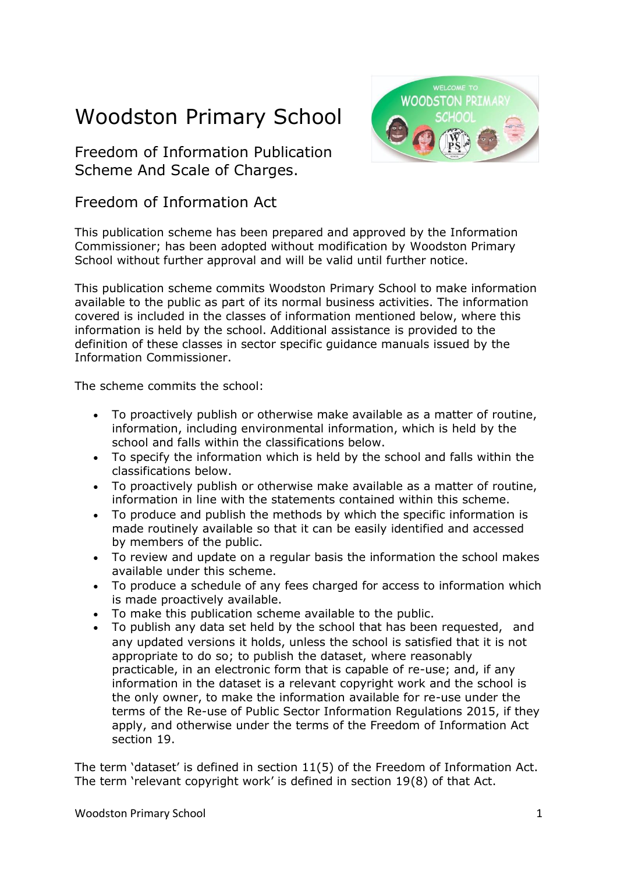# Woodston Primary School

Freedom of Information Publication Scheme And Scale of Charges.



### Freedom of Information Act

This publication scheme has been prepared and approved by the Information Commissioner; has been adopted without modification by Woodston Primary School without further approval and will be valid until further notice.

This publication scheme commits Woodston Primary School to make information available to the public as part of its normal business activities. The information covered is included in the classes of information mentioned below, where this information is held by the school. Additional assistance is provided to the definition of these classes in sector specific guidance manuals issued by the Information Commissioner.

The scheme commits the school:

- To proactively publish or otherwise make available as a matter of routine, information, including environmental information, which is held by the school and falls within the classifications below.
- To specify the information which is held by the school and falls within the classifications below.
- To proactively publish or otherwise make available as a matter of routine, information in line with the statements contained within this scheme.
- To produce and publish the methods by which the specific information is made routinely available so that it can be easily identified and accessed by members of the public.
- To review and update on a regular basis the information the school makes available under this scheme.
- To produce a schedule of any fees charged for access to information which is made proactively available.
- To make this publication scheme available to the public.
- To publish any data set held by the school that has been requested, and any updated versions it holds, unless the school is satisfied that it is not appropriate to do so; to publish the dataset, where reasonably practicable, in an electronic form that is capable of re-use; and, if any information in the dataset is a relevant copyright work and the school is the only owner, to make the information available for re-use under the terms of the Re-use of Public Sector Information Regulations 2015, if they apply, and otherwise under the terms of the Freedom of Information Act section 19.

The term 'dataset' is defined in section 11(5) of the Freedom of Information Act. The term 'relevant copyright work' is defined in section 19(8) of that Act.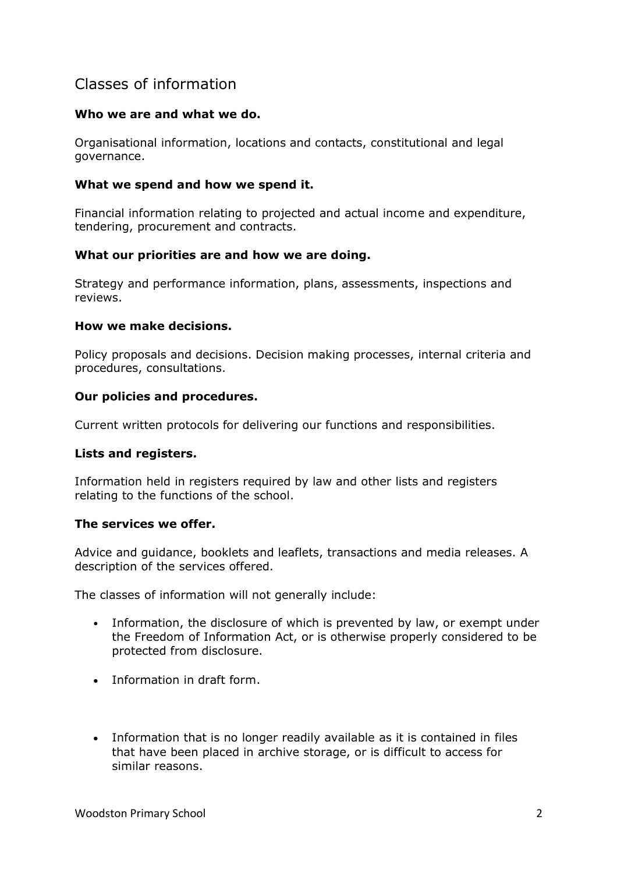## Classes of information

#### **Who we are and what we do.**

Organisational information, locations and contacts, constitutional and legal governance.

#### **What we spend and how we spend it.**

Financial information relating to projected and actual income and expenditure, tendering, procurement and contracts.

#### **What our priorities are and how we are doing.**

Strategy and performance information, plans, assessments, inspections and reviews.

#### **How we make decisions.**

Policy proposals and decisions. Decision making processes, internal criteria and procedures, consultations.

#### **Our policies and procedures.**

Current written protocols for delivering our functions and responsibilities.

#### **Lists and registers.**

Information held in registers required by law and other lists and registers relating to the functions of the school.

#### **The services we offer.**

Advice and guidance, booklets and leaflets, transactions and media releases. A description of the services offered.

The classes of information will not generally include:

- Information, the disclosure of which is prevented by law, or exempt under the Freedom of Information Act, or is otherwise properly considered to be protected from disclosure.
- Information in draft form.
- Information that is no longer readily available as it is contained in files that have been placed in archive storage, or is difficult to access for similar reasons.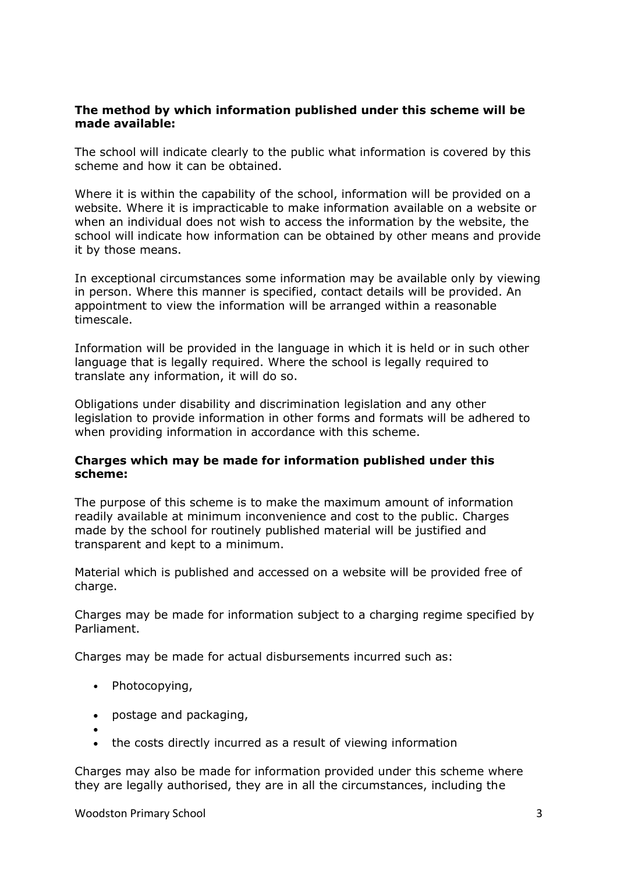#### **The method by which information published under this scheme will be made available:**

The school will indicate clearly to the public what information is covered by this scheme and how it can be obtained.

Where it is within the capability of the school, information will be provided on a website. Where it is impracticable to make information available on a website or when an individual does not wish to access the information by the website, the school will indicate how information can be obtained by other means and provide it by those means.

In exceptional circumstances some information may be available only by viewing in person. Where this manner is specified, contact details will be provided. An appointment to view the information will be arranged within a reasonable timescale.

Information will be provided in the language in which it is held or in such other language that is legally required. Where the school is legally required to translate any information, it will do so.

Obligations under disability and discrimination legislation and any other legislation to provide information in other forms and formats will be adhered to when providing information in accordance with this scheme.

#### **Charges which may be made for information published under this scheme:**

The purpose of this scheme is to make the maximum amount of information readily available at minimum inconvenience and cost to the public. Charges made by the school for routinely published material will be justified and transparent and kept to a minimum.

Material which is published and accessed on a website will be provided free of charge.

Charges may be made for information subject to a charging regime specified by Parliament.

Charges may be made for actual disbursements incurred such as:

- Photocopying,
- postage and packaging,
- • the costs directly incurred as a result of viewing information

Charges may also be made for information provided under this scheme where they are legally authorised, they are in all the circumstances, including the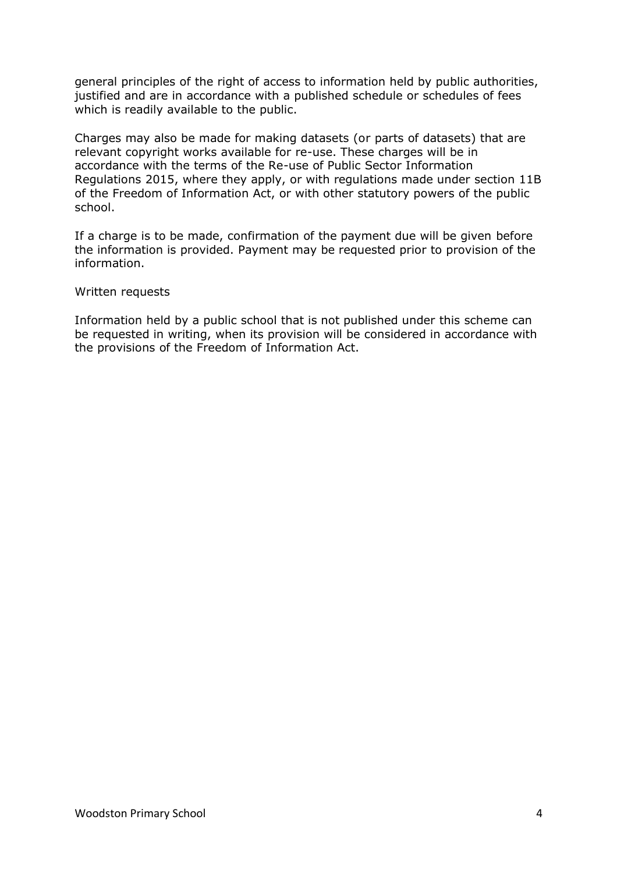general principles of the right of access to information held by public authorities, justified and are in accordance with a published schedule or schedules of fees which is readily available to the public.

Charges may also be made for making datasets (or parts of datasets) that are relevant copyright works available for re-use. These charges will be in accordance with the terms of the Re-use of Public Sector Information Regulations 2015, where they apply, or with regulations made under section 11B of the Freedom of Information Act, or with other statutory powers of the public school.

If a charge is to be made, confirmation of the payment due will be given before the information is provided. Payment may be requested prior to provision of the information.

#### Written requests

Information held by a public school that is not published under this scheme can be requested in writing, when its provision will be considered in accordance with the provisions of the Freedom of Information Act.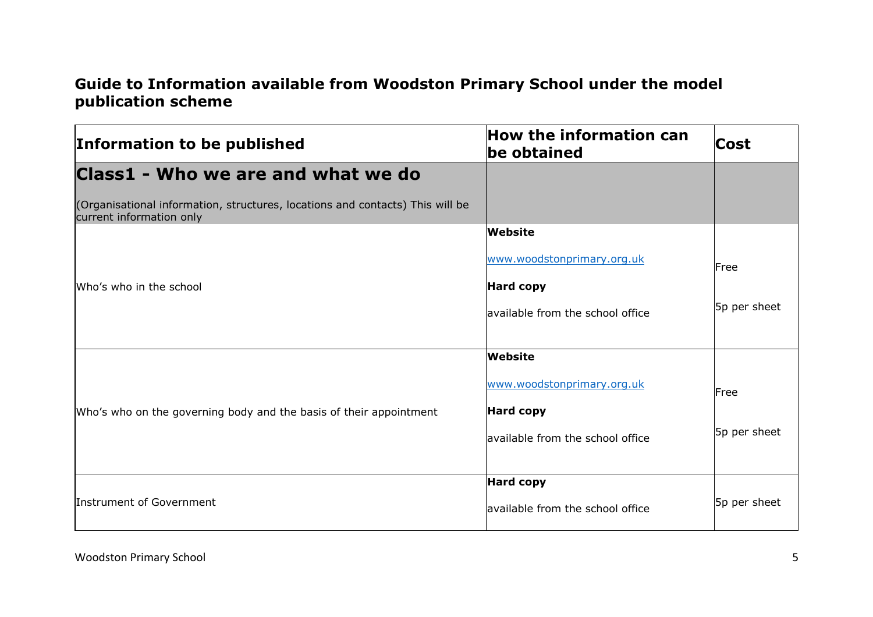# **Guide to Information available from Woodston Primary School under the model publication scheme**

| Information to be published                                                                               | <b>How the information can</b><br>be obtained | Cost         |
|-----------------------------------------------------------------------------------------------------------|-----------------------------------------------|--------------|
| Class1 - Who we are and what we do                                                                        |                                               |              |
| (Organisational information, structures, locations and contacts) This will be<br>current information only |                                               |              |
|                                                                                                           | <b>Website</b>                                |              |
|                                                                                                           | www.woodstonprimary.org.uk                    | Free         |
| Who's who in the school                                                                                   | <b>Hard copy</b>                              |              |
|                                                                                                           | available from the school office              | 5p per sheet |
|                                                                                                           |                                               |              |
|                                                                                                           | <b>Website</b>                                |              |
|                                                                                                           | www.woodstonprimary.org.uk                    | Free         |
| Who's who on the governing body and the basis of their appointment                                        | <b>Hard copy</b>                              |              |
|                                                                                                           | lavailable from the school office             | 5p per sheet |
|                                                                                                           |                                               |              |
|                                                                                                           | <b>Hard copy</b>                              |              |
| Instrument of Government                                                                                  | lavailable from the school office             | 5p per sheet |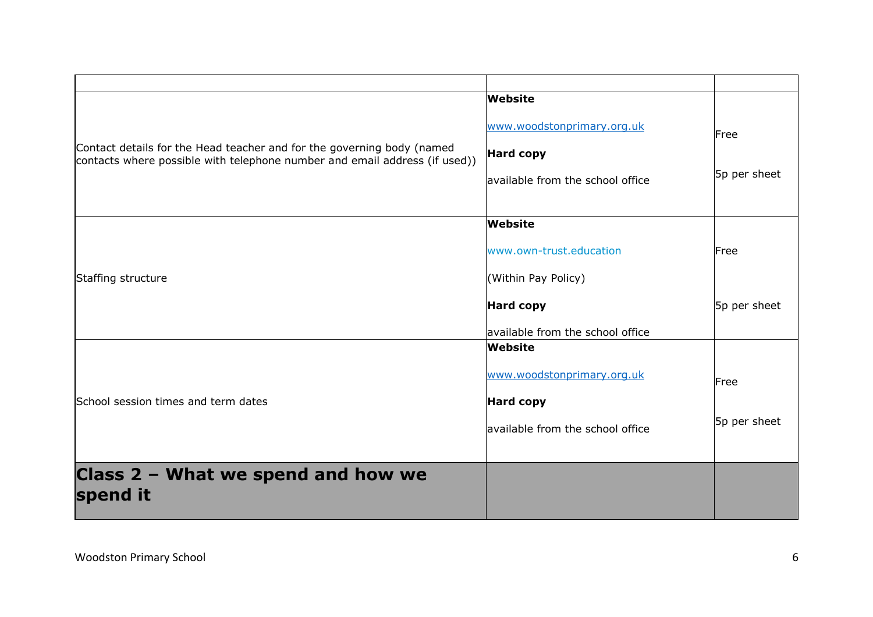|                                                                                                                                                      | Website                                                                             |                      |
|------------------------------------------------------------------------------------------------------------------------------------------------------|-------------------------------------------------------------------------------------|----------------------|
| Contact details for the Head teacher and for the governing body (named<br>contacts where possible with telephone number and email address (if used)) | www.woodstonprimary.org.uk<br><b>Hard copy</b><br>lavailable from the school office | Free<br>5p per sheet |
|                                                                                                                                                      | Website                                                                             |                      |
|                                                                                                                                                      | www.own-trust.education                                                             | Free                 |
| Staffing structure                                                                                                                                   | (Within Pay Policy)                                                                 |                      |
|                                                                                                                                                      | <b>Hard copy</b>                                                                    | 5p per sheet         |
|                                                                                                                                                      | lavailable from the school office                                                   |                      |
|                                                                                                                                                      | Website                                                                             |                      |
|                                                                                                                                                      | www.woodstonprimary.org.uk                                                          | Free                 |
| School session times and term dates                                                                                                                  | <b>Hard copy</b>                                                                    |                      |
|                                                                                                                                                      | lavailable from the school office                                                   | 5p per sheet         |
|                                                                                                                                                      |                                                                                     |                      |
| Class 2 - What we spend and how we<br>spend it                                                                                                       |                                                                                     |                      |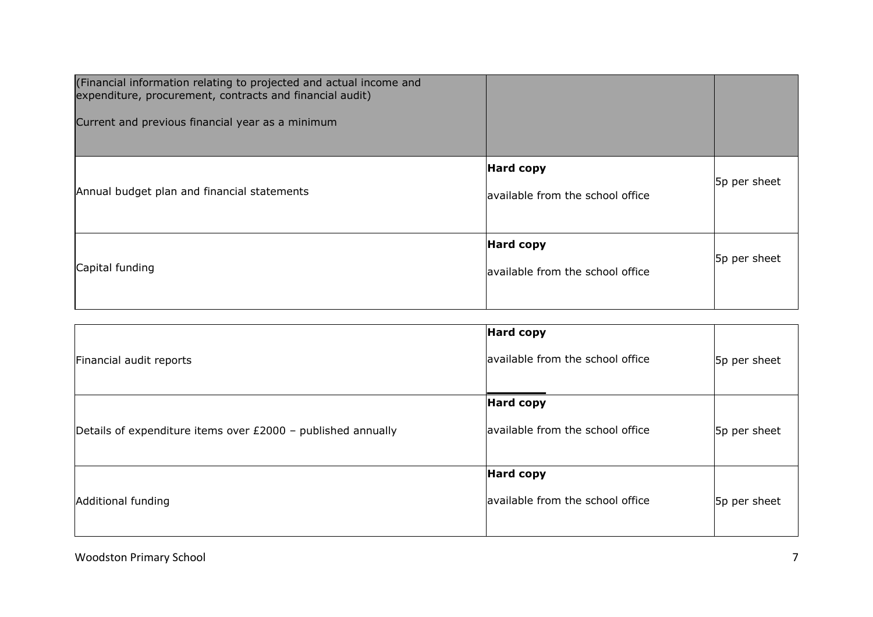| (Financial information relating to projected and actual income and<br>expenditure, procurement, contracts and financial audit)<br>Current and previous financial year as a minimum |                                                      |              |
|------------------------------------------------------------------------------------------------------------------------------------------------------------------------------------|------------------------------------------------------|--------------|
| Annual budget plan and financial statements                                                                                                                                        | <b>Hard copy</b><br>available from the school office | 5p per sheet |
| Capital funding                                                                                                                                                                    | <b>Hard copy</b><br>available from the school office | 5p per sheet |

|                                                              | <b>Hard copy</b>                 |              |
|--------------------------------------------------------------|----------------------------------|--------------|
| Financial audit reports                                      | available from the school office | 5p per sheet |
|                                                              | <b>Hard copy</b>                 |              |
| Details of expenditure items over £2000 - published annually | available from the school office | 5p per sheet |
|                                                              | <b>Hard copy</b>                 |              |
| Additional funding                                           | available from the school office | 5p per sheet |
|                                                              |                                  |              |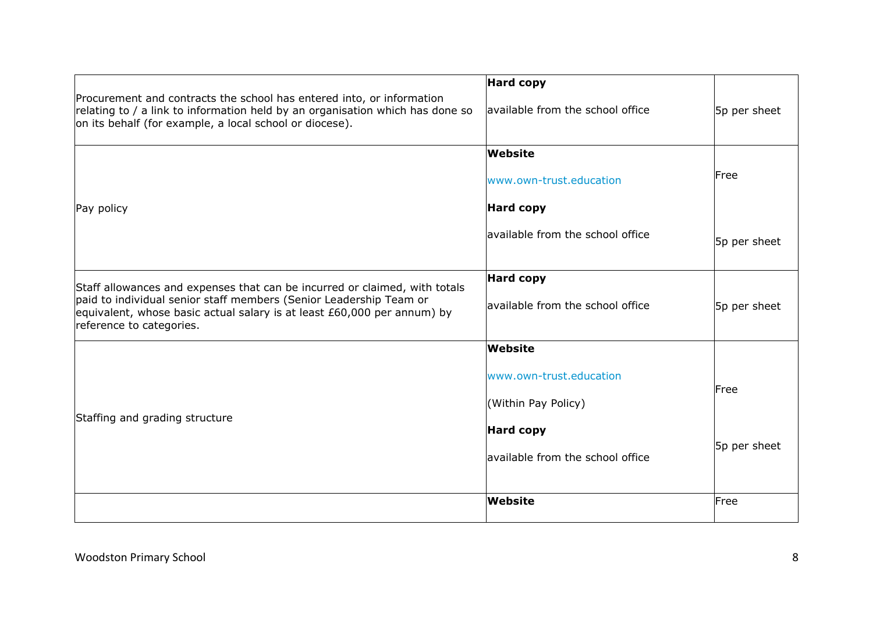|                                                                                                                                                                                                                                                         | <b>Hard copy</b>                 |              |
|---------------------------------------------------------------------------------------------------------------------------------------------------------------------------------------------------------------------------------------------------------|----------------------------------|--------------|
| Procurement and contracts the school has entered into, or information<br>relating to / a link to information held by an organisation which has done so<br>on its behalf (for example, a local school or diocese).                                       | available from the school office | 5p per sheet |
|                                                                                                                                                                                                                                                         | <b>Website</b>                   |              |
|                                                                                                                                                                                                                                                         | www.own-trust.education          | Free         |
| Pay policy                                                                                                                                                                                                                                              | <b>Hard copy</b>                 |              |
|                                                                                                                                                                                                                                                         | available from the school office | 5p per sheet |
|                                                                                                                                                                                                                                                         | <b>Hard copy</b>                 |              |
| Staff allowances and expenses that can be incurred or claimed, with totals<br>paid to individual senior staff members (Senior Leadership Team or<br>equivalent, whose basic actual salary is at least £60,000 per annum) by<br>reference to categories. | available from the school office | 5p per sheet |
|                                                                                                                                                                                                                                                         | <b>Website</b>                   |              |
|                                                                                                                                                                                                                                                         | www.own-trust.education          | Free         |
|                                                                                                                                                                                                                                                         | (Within Pay Policy)              |              |
| Staffing and grading structure                                                                                                                                                                                                                          | <b>Hard copy</b>                 |              |
|                                                                                                                                                                                                                                                         | available from the school office | 5p per sheet |
|                                                                                                                                                                                                                                                         | Website                          | Free         |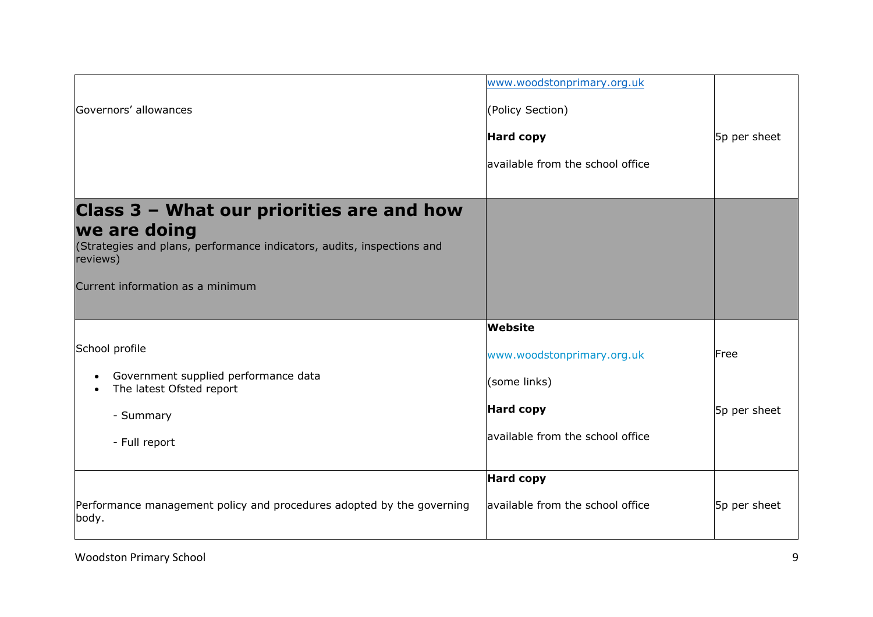|                                                                                            | www.woodstonprimary.org.uk       |              |
|--------------------------------------------------------------------------------------------|----------------------------------|--------------|
| Governors' allowances                                                                      | (Policy Section)                 |              |
|                                                                                            | <b>Hard copy</b>                 | 5p per sheet |
|                                                                                            | available from the school office |              |
|                                                                                            |                                  |              |
| Class 3 - What our priorities are and how                                                  |                                  |              |
| we are doing                                                                               |                                  |              |
| (Strategies and plans, performance indicators, audits, inspections and<br>reviews)         |                                  |              |
| Current information as a minimum                                                           |                                  |              |
|                                                                                            |                                  |              |
|                                                                                            | Website                          |              |
| School profile                                                                             | www.woodstonprimary.org.uk       | Free         |
| Government supplied performance data<br>$\bullet$<br>The latest Ofsted report<br>$\bullet$ | (some links)                     |              |
| - Summary                                                                                  | <b>Hard copy</b>                 | 5p per sheet |
| - Full report                                                                              | available from the school office |              |
|                                                                                            |                                  |              |
|                                                                                            | <b>Hard copy</b>                 |              |
| Performance management policy and procedures adopted by the governing<br>body.             | available from the school office | 5p per sheet |
|                                                                                            |                                  |              |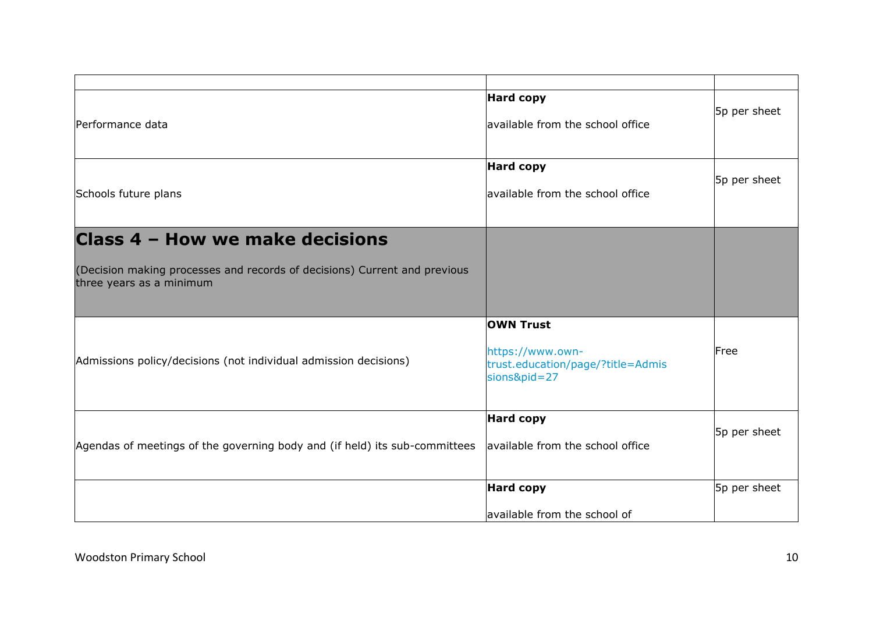| Performance data                                                                                                                         | <b>Hard copy</b><br>available from the school office                                      | 5p per sheet |
|------------------------------------------------------------------------------------------------------------------------------------------|-------------------------------------------------------------------------------------------|--------------|
| Schools future plans                                                                                                                     | <b>Hard copy</b><br>available from the school office                                      | 5p per sheet |
| Class 4 - How we make decisions<br>(Decision making processes and records of decisions) Current and previous<br>three years as a minimum |                                                                                           |              |
| Admissions policy/decisions (not individual admission decisions)                                                                         | <b>OWN Trust</b><br>https://www.own-<br>trust.education/page/?title=Admis<br>sions&pid=27 | Free         |
| Agendas of meetings of the governing body and (if held) its sub-committees                                                               | <b>Hard copy</b><br>available from the school office                                      | 5p per sheet |
|                                                                                                                                          | <b>Hard copy</b><br>available from the school of                                          | 5p per sheet |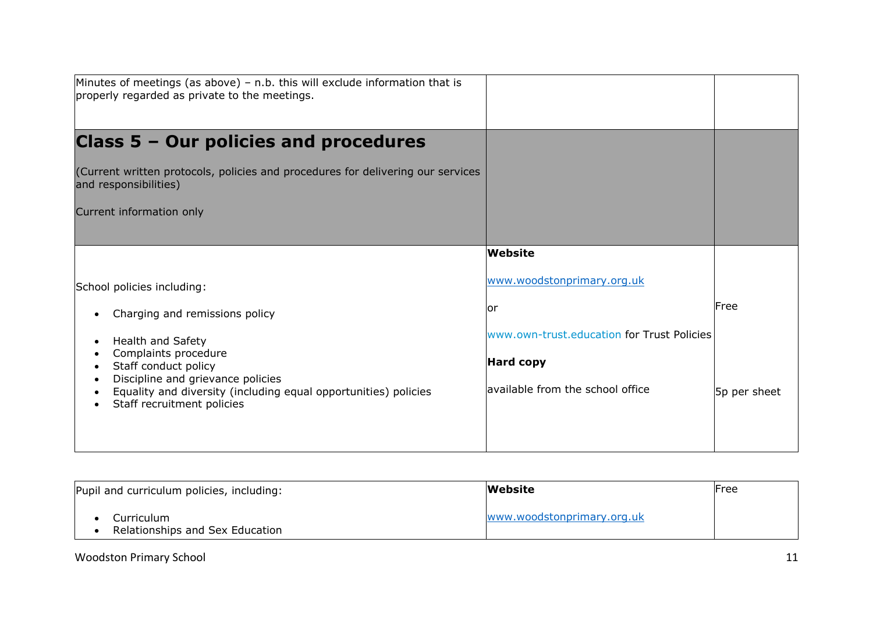| Minutes of meetings (as above) – n.b. this will exclude information that is<br>properly regarded as private to the meetings.                                                                                                                                                                      |                                                                                                                                             |                       |
|---------------------------------------------------------------------------------------------------------------------------------------------------------------------------------------------------------------------------------------------------------------------------------------------------|---------------------------------------------------------------------------------------------------------------------------------------------|-----------------------|
| <b>Class 5 - Our policies and procedures</b><br>(Current written protocols, policies and procedures for delivering our services<br>and responsibilities)<br>Current information only                                                                                                              |                                                                                                                                             |                       |
| School policies including:<br>Charging and remissions policy<br>Health and Safety<br>$\bullet$<br>Complaints procedure<br>Staff conduct policy<br>$\bullet$<br>Discipline and grievance policies<br>Equality and diversity (including equal opportunities) policies<br>Staff recruitment policies | Website<br>www.woodstonprimary.org.uk<br>or<br>www.own-trust.education for Trust Policies<br>Hard copy<br>lavailable from the school office | lFree<br>5p per sheet |

| Pupil and curriculum policies, including:     | Website                    | Free |
|-----------------------------------------------|----------------------------|------|
| Curriculum<br>Relationships and Sex Education | www.woodstonprimary.org.uk |      |

### Woodston Primary School 11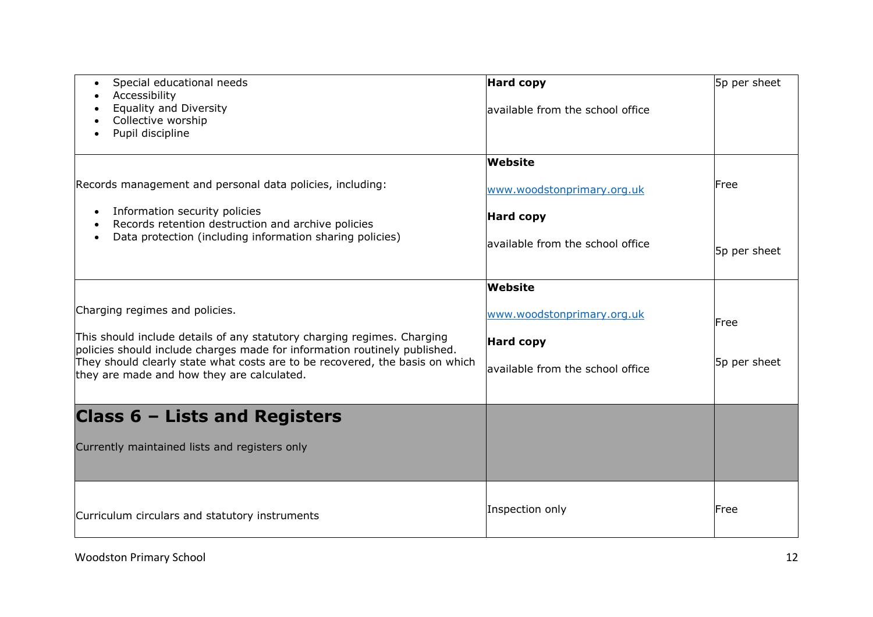| Special educational needs<br>$\bullet$<br>Accessibility<br>$\bullet$                                                                                 | <b>Hard copy</b>                  | 5p per sheet |
|------------------------------------------------------------------------------------------------------------------------------------------------------|-----------------------------------|--------------|
| <b>Equality and Diversity</b><br>Collective worship<br>Pupil discipline                                                                              | lavailable from the school office |              |
|                                                                                                                                                      | Website                           |              |
| Records management and personal data policies, including:                                                                                            | www.woodstonprimary.org.uk        | Free         |
| Information security policies<br>$\bullet$<br>Records retention destruction and archive policies                                                     | <b>Hard copy</b>                  |              |
| Data protection (including information sharing policies)<br>$\bullet$                                                                                | available from the school office  | 5p per sheet |
|                                                                                                                                                      | Website                           |              |
| Charging regimes and policies.                                                                                                                       | www.woodstonprimary.org.uk        | Free         |
| This should include details of any statutory charging regimes. Charging<br>policies should include charges made for information routinely published. | <b>Hard copy</b>                  |              |
| They should clearly state what costs are to be recovered, the basis on which<br>they are made and how they are calculated.                           | available from the school office  | 5p per sheet |
|                                                                                                                                                      |                                   |              |
| Class 6 - Lists and Registers                                                                                                                        |                                   |              |
| Currently maintained lists and registers only                                                                                                        |                                   |              |
|                                                                                                                                                      |                                   |              |
| Curriculum circulars and statutory instruments                                                                                                       | Inspection only                   | Free         |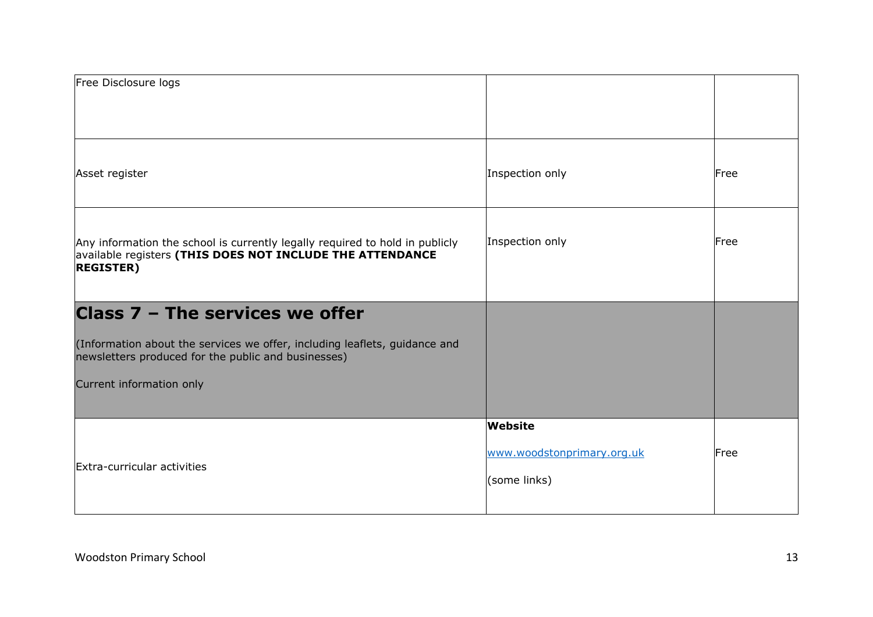| Free Disclosure logs                                                                                                                                                                             |                                                       |      |
|--------------------------------------------------------------------------------------------------------------------------------------------------------------------------------------------------|-------------------------------------------------------|------|
| Asset register                                                                                                                                                                                   | Inspection only                                       | Free |
| Any information the school is currently legally required to hold in publicly<br>available registers (THIS DOES NOT INCLUDE THE ATTENDANCE<br><b>REGISTER)</b>                                    | Inspection only                                       | Free |
| Class 7 - The services we offer<br>(Information about the services we offer, including leaflets, guidance and<br>newsletters produced for the public and businesses)<br>Current information only |                                                       |      |
| Extra-curricular activities                                                                                                                                                                      | Website<br>www.woodstonprimary.org.uk<br>(some links) | Free |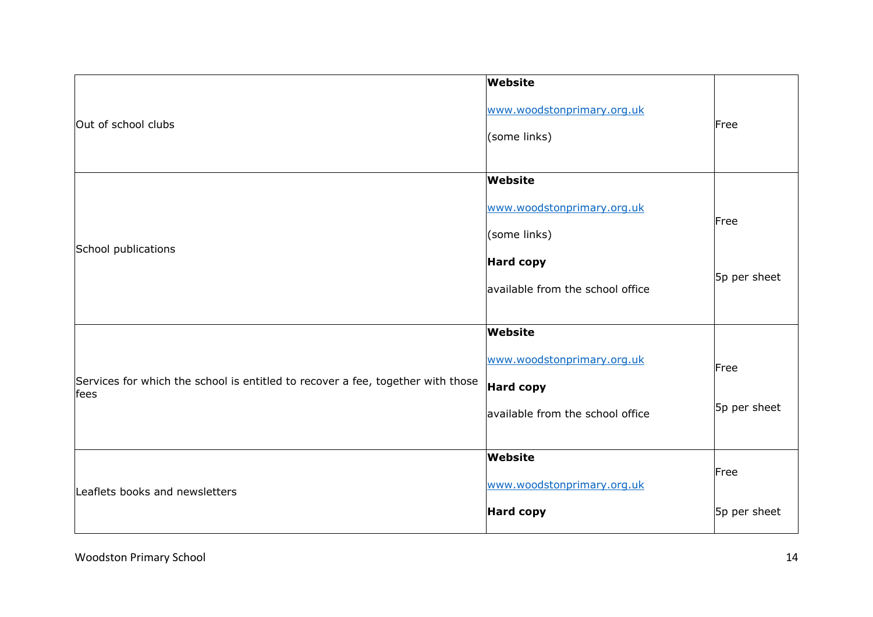|                                                                                         | Website                                    |              |
|-----------------------------------------------------------------------------------------|--------------------------------------------|--------------|
| Out of school clubs                                                                     | www.woodstonprimary.org.uk<br>(some links) | Free         |
|                                                                                         | Website                                    |              |
|                                                                                         | www.woodstonprimary.org.uk                 | Free         |
|                                                                                         | (some links)                               |              |
| School publications                                                                     | <b>Hard copy</b>                           | 5p per sheet |
|                                                                                         | available from the school office           |              |
|                                                                                         |                                            |              |
|                                                                                         | Website                                    |              |
|                                                                                         | www.woodstonprimary.org.uk                 | Free         |
| Services for which the school is entitled to recover a fee, together with those<br>fees | <b>Hard copy</b>                           |              |
|                                                                                         | available from the school office           | 5p per sheet |
|                                                                                         |                                            |              |
| Leaflets books and newsletters                                                          | <b>Website</b>                             |              |
|                                                                                         | www.woodstonprimary.org.uk                 | Free         |
|                                                                                         | <b>Hard copy</b>                           | 5p per sheet |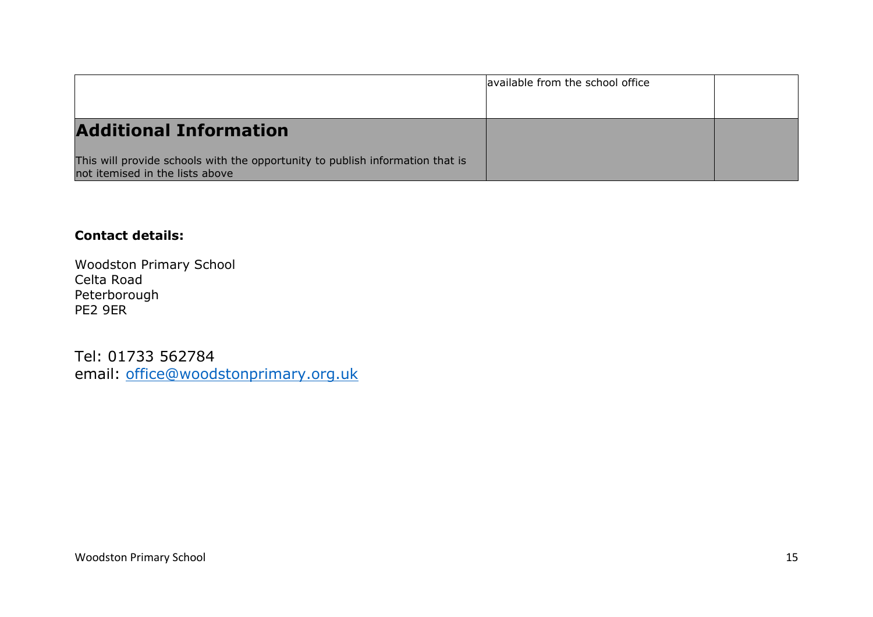|                                                                                                                  | available from the school office |  |
|------------------------------------------------------------------------------------------------------------------|----------------------------------|--|
|                                                                                                                  |                                  |  |
| <b>Additional Information</b>                                                                                    |                                  |  |
| This will provide schools with the opportunity to publish information that is<br>not itemised in the lists above |                                  |  |

### **Contact details:**

Woodston Primary School Celta Road Peterborough PE2 9ER

Tel: 01733 562784 email: [office@woodstonprimary.org.uk](mailto:office@woodstonprimary.org.uk)